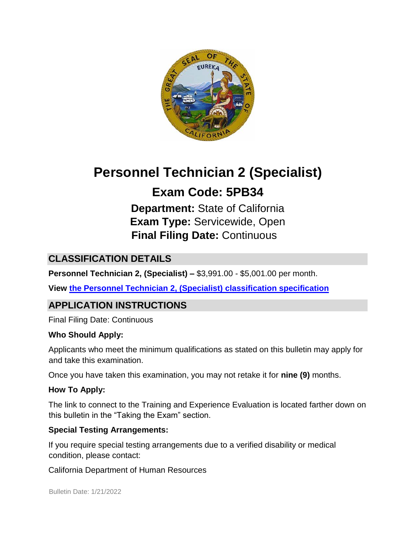

# **Personnel Technician 2 (Specialist)**

## **Exam Code: 5PB34**

**Department:** State of California **Exam Type:** Servicewide, Open **Final Filing Date:** Continuous

## **CLASSIFICATION DETAILS**

**Personnel Technician 2, (Specialist) –** \$3,991.00 - \$5,001.00 per month.

**View [the Personnel Technician 2, \(Specialist\)](http://www.calhr.ca.gov/state-hr-professionals/pages/5160.aspx) [classification specification](http://www.calhr.ca.gov/state-hr-professionals/pages/5160.aspx)**

## **APPLICATION INSTRUCTIONS**

Final Filing Date: Continuous

#### **Who Should Apply:**

Applicants who meet the minimum qualifications as stated on this bulletin may apply for and take this examination.

Once you have taken this examination, you may not retake it for **nine (9)** months.

#### **How To Apply:**

The link to connect to the Training and Experience Evaluation is located farther down on this bulletin in the "Taking the Exam" section.

#### **Special Testing Arrangements:**

If you require special testing arrangements due to a verified disability or medical condition, please contact:

California Department of Human Resources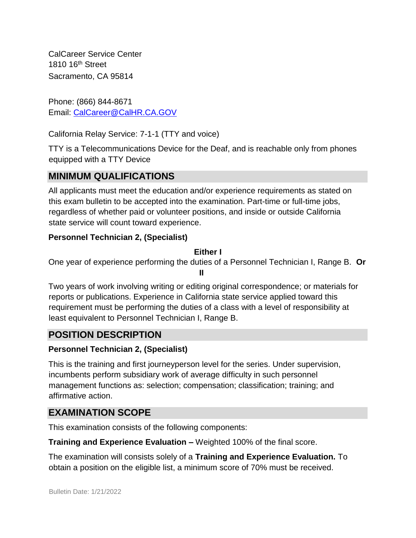CalCareer Service Center 1810 16<sup>th</sup> Street Sacramento, CA 95814

Phone: (866) 844-8671 Email: CalCareer@CalHR.CA.GOV

California Relay Service: 7-1-1 (TTY and voice)

TTY is a Telecommunications Device for the Deaf, and is reachable only from phones equipped with a TTY Device

## **MINIMUM QUALIFICATIONS**

All applicants must meet the education and/or experience requirements as stated on this exam bulletin to be accepted into the examination. Part-time or full-time jobs, regardless of whether paid or volunteer positions, and inside or outside California state service will count toward experience.

#### **Personnel Technician 2, (Specialist)**

#### **Either I**

One year of experience performing the duties of a Personnel Technician I, Range B. **Or** 

**II**

Two years of work involving writing or editing original correspondence; or materials for reports or publications. Experience in California state service applied toward this requirement must be performing the duties of a class with a level of responsibility at least equivalent to Personnel Technician I, Range B.

#### **POSITION DESCRIPTION**

#### **Personnel Technician 2, (Specialist)**

This is the training and first journeyperson level for the series. Under supervision, incumbents perform subsidiary work of average difficulty in such personnel management functions as: selection; compensation; classification; training; and affirmative action.

#### **EXAMINATION SCOPE**

This examination consists of the following components:

**Training and Experience Evaluation –** Weighted 100% of the final score.

The examination will consists solely of a **Training and Experience Evaluation.** To obtain a position on the eligible list, a minimum score of 70% must be received.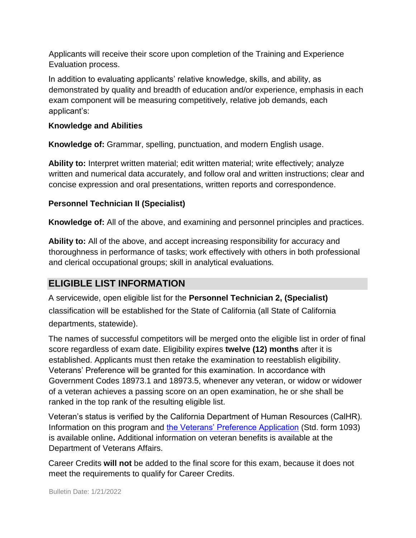Applicants will receive their score upon completion of the Training and Experience Evaluation process.

In addition to evaluating applicants' relative knowledge, skills, and ability, as demonstrated by quality and breadth of education and/or experience, emphasis in each exam component will be measuring competitively, relative job demands, each applicant's:

#### **Knowledge and Abilities**

**Knowledge of:** Grammar, spelling, punctuation, and modern English usage.

**Ability to:** Interpret written material; edit written material; write effectively; analyze written and numerical data accurately, and follow oral and written instructions; clear and concise expression and oral presentations, written reports and correspondence.

#### **Personnel Technician II (Specialist)**

**Knowledge of:** All of the above, and examining and personnel principles and practices.

**Ability to:** All of the above, and accept increasing responsibility for accuracy and thoroughness in performance of tasks; work effectively with others in both professional and clerical occupational groups; skill in analytical evaluations.

## **ELIGIBLE LIST INFORMATION**

A servicewide, open eligible list for the **Personnel Technician 2, (Specialist)** classification will be established for the State of California (all State of California departments, statewide).

The names of successful competitors will be merged onto the eligible list in order of final score regardless of exam date. Eligibility expires **twelve (12) months** after it is established. Applicants must then retake the examination to reestablish eligibility. Veterans' Preference will be granted for this examination. In accordance with Government Codes 18973.1 and 18973.5, whenever any veteran, or widow or widower of a veteran achieves a passing score on an open examination, he or she shall be ranked in the top rank of the resulting eligible list.

Veteran's status is verified by the California Department of Human Resources (CalHR). Information on this program and [the Veterans' Preference Application](https://www.jobs.ca.gov/CalHRPublic/Landing/Jobs/VeteransInformation.aspx) [\(](https://www.jobs.ca.gov/CalHRPublic/Landing/Jobs/VeteransInformation.aspx)Std. form 1093) is available online**.** Additional information on veteran benefits is available at the Department of Veterans Affairs.

Career Credits **will not** be added to the final score for this exam, because it does not meet the requirements to qualify for Career Credits.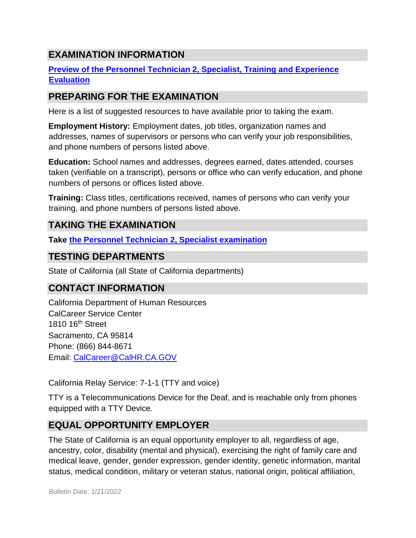## **EXAMINATION INFORMATION**

#### **[Preview of the Personnel Technician 2, Specialist, Training and Experience](https://jobs.ca.gov/JOBSGEN/5PB34C.pdf) [Evaluation](https://jobs.ca.gov/JOBSGEN/5PB34C.pdf)**

### **PREPARING FOR THE EXAMINATION**

Here is a list of suggested resources to have available prior to taking the exam.

**Employment History:** Employment dates, job titles, organization names and addresses, names of supervisors or persons who can verify your job responsibilities, and phone numbers of persons listed above.

**Education:** School names and addresses, degrees earned, dates attended, courses taken (verifiable on a transcript), persons or office who can verify education, and phone numbers of persons or offices listed above.

**Training:** Class titles, certifications received, names of persons who can verify your training, and phone numbers of persons listed above.

## **TAKING THE EXAMINATION**

**Take [the Personnel Technician 2, Specialist examination](https://exams.spb.ca.gov/exams/ptech2/)**

#### **TESTING DEPARTMENTS**

State of California (all State of California departments)

## **CONTACT INFORMATION**

California Department of Human Resources CalCareer Service Center 1810 16th Street Sacramento, CA 95814 Phone: (866) 844-8671 Email: CalCareer@CalHR.CA.GOV

California Relay Service: 7-1-1 (TTY and voice)

TTY is a Telecommunications Device for the Deaf, and is reachable only from phones equipped with a TTY Device.

## **EQUAL OPPORTUNITY EMPLOYER**

The State of California is an equal opportunity employer to all, regardless of age, ancestry, color, disability (mental and physical), exercising the right of family care and medical leave, gender, gender expression, gender identity, genetic information, marital status, medical condition, military or veteran status, national origin, political affiliation,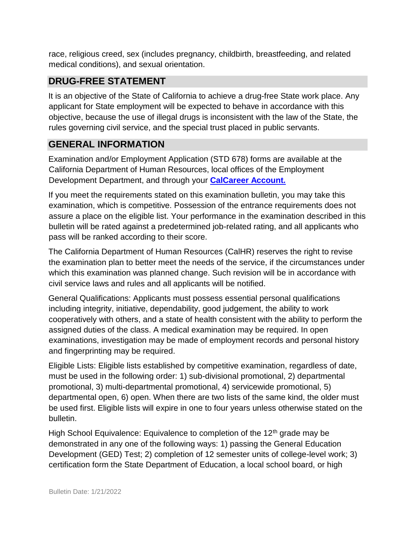race, religious creed, sex (includes pregnancy, childbirth, breastfeeding, and related medical conditions), and sexual orientation.

## **DRUG-FREE STATEMENT**

It is an objective of the State of California to achieve a drug-free State work place. Any applicant for State employment will be expected to behave in accordance with this objective, because the use of illegal drugs is inconsistent with the law of the State, the rules governing civil service, and the special trust placed in public servants.

## **GENERAL INFORMATION**

Examination and/or Employment Application (STD 678) forms are available at the California Department of Human Resources, local offices of the Employment Development Department, and through your **[CalCareer Account.](http://www.jobs.ca.gov/)**

If you meet the requirements stated on this examination bulletin, you may take this examination, which is competitive. Possession of the entrance requirements does not assure a place on the eligible list. Your performance in the examination described in this bulletin will be rated against a predetermined job-related rating, and all applicants who pass will be ranked according to their score.

The California Department of Human Resources (CalHR) reserves the right to revise the examination plan to better meet the needs of the service, if the circumstances under which this examination was planned change. Such revision will be in accordance with civil service laws and rules and all applicants will be notified.

General Qualifications: Applicants must possess essential personal qualifications including integrity, initiative, dependability, good judgement, the ability to work cooperatively with others, and a state of health consistent with the ability to perform the assigned duties of the class. A medical examination may be required. In open examinations, investigation may be made of employment records and personal history and fingerprinting may be required.

Eligible Lists: Eligible lists established by competitive examination, regardless of date, must be used in the following order: 1) sub-divisional promotional, 2) departmental promotional, 3) multi-departmental promotional, 4) servicewide promotional, 5) departmental open, 6) open. When there are two lists of the same kind, the older must be used first. Eligible lists will expire in one to four years unless otherwise stated on the bulletin.

High School Equivalence: Equivalence to completion of the  $12<sup>th</sup>$  grade may be demonstrated in any one of the following ways: 1) passing the General Education Development (GED) Test; 2) completion of 12 semester units of college-level work; 3) certification form the State Department of Education, a local school board, or high